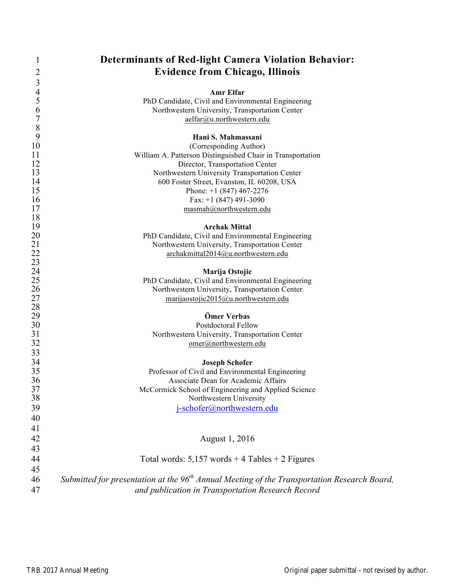| 1              | <b>Determinants of Red-light Camera Violation Behavior:</b>                                             |
|----------------|---------------------------------------------------------------------------------------------------------|
| 2              | <b>Evidence from Chicago, Illinois</b>                                                                  |
| 3              |                                                                                                         |
| $\overline{4}$ | Amr Elfar                                                                                               |
| 5              | PhD Candidate, Civil and Environmental Engineering                                                      |
| 6              | Northwestern University, Transportation Center                                                          |
| $\overline{7}$ | aelfar@u.northwestern.edu                                                                               |
| $\,$ $\,$<br>9 |                                                                                                         |
| 10             | Hani S. Mahmassani<br>(Corresponding Author)                                                            |
| 11             | William A. Patterson Distinguished Chair in Transportation                                              |
| 12             | Director, Transportation Center                                                                         |
| 13             | Northwestern University Transportation Center                                                           |
| 14             | 600 Foster Street, Evanston, IL 60208, USA                                                              |
| 15             | Phone: $+1$ (847) 467-2276                                                                              |
| 16             | Fax: $+1$ (847) 491-3090                                                                                |
| 17             | masmah@northwestern.edu                                                                                 |
| 18             |                                                                                                         |
| 19             | <b>Archak Mittal</b>                                                                                    |
| 20             | PhD Candidate, Civil and Environmental Engineering                                                      |
| 21             | Northwestern University, Transportation Center                                                          |
| 22             | archakmittal2014@u.northwestern.edu                                                                     |
| 23             |                                                                                                         |
| 24<br>25       | Marija Ostojic<br>PhD Candidate, Civil and Environmental Engineering                                    |
| 26             | Northwestern University, Transportation Center                                                          |
| 27             | marijaostojic2015@u.northwestern.edu                                                                    |
| 28             |                                                                                                         |
| 29             | Ömer Verbas                                                                                             |
| 30             | Postdoctoral Fellow                                                                                     |
| 31             | Northwestern University, Transportation Center                                                          |
| 32             | omer@northwestern.edu                                                                                   |
| 33             |                                                                                                         |
| 34             | <b>Joseph Schofer</b>                                                                                   |
| 35             | Professor of Civil and Environmental Engineering                                                        |
| 36             | Associate Dean for Academic Affairs                                                                     |
| 37             | McCormick School of Engineering and Applied Science                                                     |
| 38             | Northwestern University                                                                                 |
| 39             | j-schofer@northwestern.edu                                                                              |
| 40             |                                                                                                         |
| 41             |                                                                                                         |
| 42             | August 1, 2016                                                                                          |
| 43             |                                                                                                         |
| 44             | Total words: $5,157$ words + 4 Tables + 2 Figures                                                       |
| 45             |                                                                                                         |
| 46             | Submitted for presentation at the 96 <sup>th</sup> Annual Meeting of the Transportation Research Board, |
| 47             | and publication in Transportation Research Record                                                       |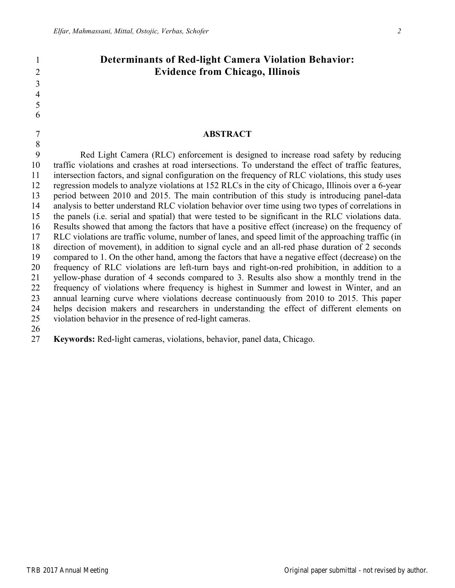# **Determinants of Red-light Camera Violation Behavior: Evidence from Chicago, Illinois**

#### **ABSTRACT**

 Red Light Camera (RLC) enforcement is designed to increase road safety by reducing traffic violations and crashes at road intersections. To understand the effect of traffic features, intersection factors, and signal configuration on the frequency of RLC violations, this study uses regression models to analyze violations at 152 RLCs in the city of Chicago, Illinois over a 6-year period between 2010 and 2015. The main contribution of this study is introducing panel-data analysis to better understand RLC violation behavior over time using two types of correlations in the panels (i.e. serial and spatial) that were tested to be significant in the RLC violations data. Results showed that among the factors that have a positive effect (increase) on the frequency of RLC violations are traffic volume, number of lanes, and speed limit of the approaching traffic (in direction of movement), in addition to signal cycle and an all-red phase duration of 2 seconds compared to 1. On the other hand, among the factors that have a negative effect (decrease) on the frequency of RLC violations are left-turn bays and right-on-red prohibition, in addition to a yellow-phase duration of 4 seconds compared to 3. Results also show a monthly trend in the frequency of violations where frequency is highest in Summer and lowest in Winter, and an annual learning curve where violations decrease continuously from 2010 to 2015. This paper helps decision makers and researchers in understanding the effect of different elements on violation behavior in the presence of red-light cameras.

**Keywords:** Red-light cameras, violations, behavior, panel data, Chicago.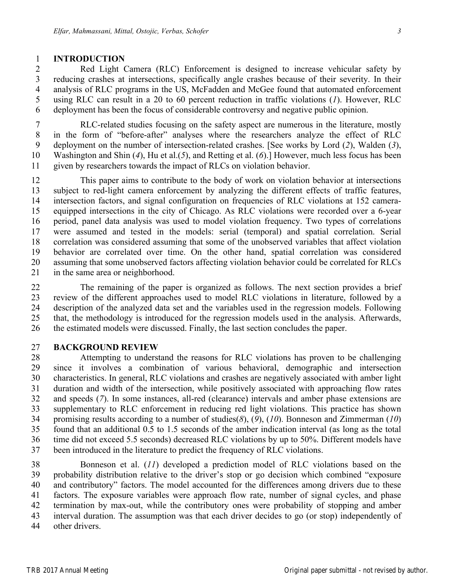#### **INTRODUCTION**

 Red Light Camera (RLC) Enforcement is designed to increase vehicular safety by reducing crashes at intersections, specifically angle crashes because of their severity. In their analysis of RLC programs in the US, McFadden and McGee found that automated enforcement using RLC can result in a 20 to 60 percent reduction in traffic violations (*1*). However, RLC deployment has been the focus of considerable controversy and negative public opinion.

 RLC-related studies focusing on the safety aspect are numerous in the literature, mostly in the form of "before-after" analyses where the researchers analyze the effect of RLC deployment on the number of intersection-related crashes. [See works by Lord (*2*), Walden (*3*), Washington and Shin (*4*), Hu et al.(*5*), and Retting et al. (*6*).] However, much less focus has been given by researchers towards the impact of RLCs on violation behavior.

 This paper aims to contribute to the body of work on violation behavior at intersections subject to red-light camera enforcement by analyzing the different effects of traffic features, intersection factors, and signal configuration on frequencies of RLC violations at 152 camera- equipped intersections in the city of Chicago. As RLC violations were recorded over a 6-year period, panel data analysis was used to model violation frequency. Two types of correlations were assumed and tested in the models: serial (temporal) and spatial correlation. Serial correlation was considered assuming that some of the unobserved variables that affect violation behavior are correlated over time. On the other hand, spatial correlation was considered assuming that some unobserved factors affecting violation behavior could be correlated for RLCs in the same area or neighborhood.

 The remaining of the paper is organized as follows. The next section provides a brief review of the different approaches used to model RLC violations in literature, followed by a description of the analyzed data set and the variables used in the regression models. Following that, the methodology is introduced for the regression models used in the analysis. Afterwards, the estimated models were discussed. Finally, the last section concludes the paper.

## **BACKGROUND REVIEW**

 Attempting to understand the reasons for RLC violations has proven to be challenging since it involves a combination of various behavioral, demographic and intersection characteristics. In general, RLC violations and crashes are negatively associated with amber light duration and width of the intersection, while positively associated with approaching flow rates and speeds (*7*). In some instances, all-red (clearance) intervals and amber phase extensions are supplementary to RLC enforcement in reducing red light violations. This practice has shown promising results according to a number of studies(*8*), (*9*), (*10*). Bonneson and Zimmerman (*10*) found that an additional 0.5 to 1.5 seconds of the amber indication interval (as long as the total time did not exceed 5.5 seconds) decreased RLC violations by up to 50%. Different models have been introduced in the literature to predict the frequency of RLC violations.

 Bonneson et al. (*11*) developed a prediction model of RLC violations based on the probability distribution relative to the driver's stop or go decision which combined "exposure and contributory" factors. The model accounted for the differences among drivers due to these factors. The exposure variables were approach flow rate, number of signal cycles, and phase termination by max-out, while the contributory ones were probability of stopping and amber interval duration. The assumption was that each driver decides to go (or stop) independently of other drivers.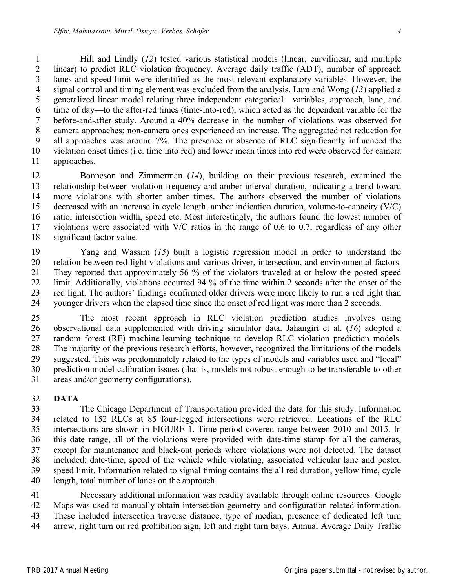Hill and Lindly (*12*) tested various statistical models (linear, curvilinear, and multiple linear) to predict RLC violation frequency. Average daily traffic (ADT), number of approach lanes and speed limit were identified as the most relevant explanatory variables. However, the signal control and timing element was excluded from the analysis. Lum and Wong (*13*) applied a generalized linear model relating three independent categorical—variables, approach, lane, and time of day—to the after-red times (time-into-red), which acted as the dependent variable for the before-and-after study. Around a 40% decrease in the number of violations was observed for camera approaches; non-camera ones experienced an increase. The aggregated net reduction for all approaches was around 7%. The presence or absence of RLC significantly influenced the violation onset times (i.e. time into red) and lower mean times into red were observed for camera approaches.

 Bonneson and Zimmerman (*14*), building on their previous research, examined the relationship between violation frequency and amber interval duration, indicating a trend toward more violations with shorter amber times. The authors observed the number of violations decreased with an increase in cycle length, amber indication duration, volume-to-capacity (V/C) ratio, intersection width, speed etc. Most interestingly, the authors found the lowest number of violations were associated with V/C ratios in the range of 0.6 to 0.7, regardless of any other significant factor value.

 Yang and Wassim (*15*) built a logistic regression model in order to understand the relation between red light violations and various driver, intersection, and environmental factors. They reported that approximately 56 % of the violators traveled at or below the posted speed limit. Additionally, violations occurred 94 % of the time within 2 seconds after the onset of the red light. The authors' findings confirmed older drivers were more likely to run a red light than younger drivers when the elapsed time since the onset of red light was more than 2 seconds.

 The most recent approach in RLC violation prediction studies involves using observational data supplemented with driving simulator data. Jahangiri et al. (*16*) adopted a random forest (RF) machine-learning technique to develop RLC violation prediction models. The majority of the previous research efforts, however, recognized the limitations of the models suggested. This was predominately related to the types of models and variables used and "local" prediction model calibration issues (that is, models not robust enough to be transferable to other areas and/or geometry configurations).

# **DATA**

 The Chicago Department of Transportation provided the data for this study. Information related to 152 RLCs at 85 four-legged intersections were retrieved. Locations of the RLC intersections are shown in FIGURE 1. Time period covered range between 2010 and 2015. In this date range, all of the violations were provided with date-time stamp for all the cameras, except for maintenance and black-out periods where violations were not detected. The dataset included: date-time, speed of the vehicle while violating, associated vehicular lane and posted speed limit. Information related to signal timing contains the all red duration, yellow time, cycle length, total number of lanes on the approach.

 Necessary additional information was readily available through online resources. Google Maps was used to manually obtain intersection geometry and configuration related information. These included intersection traverse distance, type of median, presence of dedicated left turn arrow, right turn on red prohibition sign, left and right turn bays. Annual Average Daily Traffic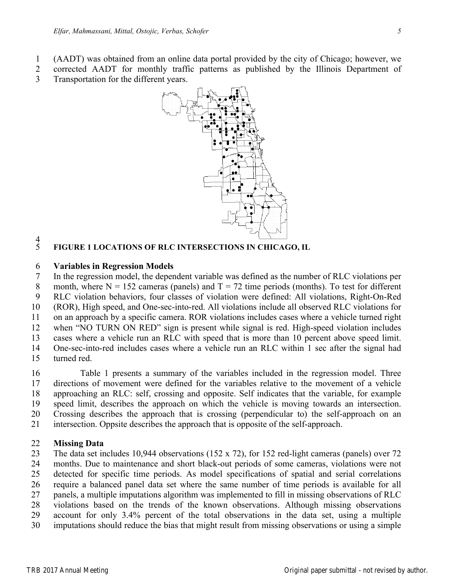- (AADT) was obtained from an online data portal provided by the city of Chicago; however, we
- corrected AADT for monthly traffic patterns as published by the Illinois Department of Transportation for the different years.



#### $rac{4}{5}$ **FIGURE 1 LOCATIONS OF RLC INTERSECTIONS IN CHICAGO, IL**

#### **Variables in Regression Models**

 In the regression model, the dependent variable was defined as the number of RLC violations per 8 month, where  $N = 152$  cameras (panels) and  $T = 72$  time periods (months). To test for different RLC violation behaviors, four classes of violation were defined: All violations, Right-On-Red (ROR), High speed, and One-sec-into-red. All violations include all observed RLC violations for on an approach by a specific camera. ROR violations includes cases where a vehicle turned right when "NO TURN ON RED" sign is present while signal is red. High-speed violation includes cases where a vehicle run an RLC with speed that is more than 10 percent above speed limit. One-sec-into-red includes cases where a vehicle run an RLC within 1 sec after the signal had turned red.

 Table 1 presents a summary of the variables included in the regression model. Three directions of movement were defined for the variables relative to the movement of a vehicle approaching an RLC: self, crossing and opposite. Self indicates that the variable, for example speed limit, describes the approach on which the vehicle is moving towards an intersection. Crossing describes the approach that is crossing (perpendicular to) the self-approach on an intersection. Oppsite describes the approach that is opposite of the self-approach.

#### **Missing Data**

 The data set includes 10,944 observations (152 x 72), for 152 red-light cameras (panels) over 72 months. Due to maintenance and short black-out periods of some cameras, violations were not detected for specific time periods. As model specifications of spatial and serial correlations require a balanced panel data set where the same number of time periods is available for all panels, a multiple imputations algorithm was implemented to fill in missing observations of RLC violations based on the trends of the known observations. Although missing observations account for only 3.4% percent of the total observations in the data set, using a multiple imputations should reduce the bias that might result from missing observations or using a simple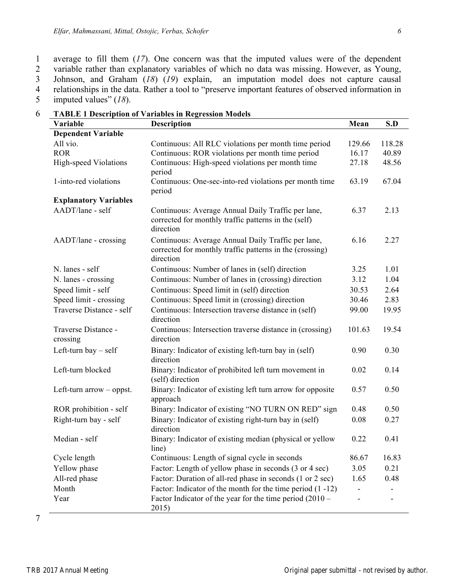average to fill them (*17*). One concern was that the imputed values were of the dependent 2 variable rather than explanatory variables of which no data was missing. However, as Young, 3 Johnson, and Graham (18) (19) explain, an imputation model does not capture causal Johnson, and Graham (*18*) (*19*) explain, an imputation model does not capture causal relationships in the data. Rather a tool to "preserve important features of observed information in imputed values" (*18*).

| Variable                        | <b>Description</b>                                                                                                          | Mean   | S.D    |
|---------------------------------|-----------------------------------------------------------------------------------------------------------------------------|--------|--------|
| <b>Dependent Variable</b>       |                                                                                                                             |        |        |
| All vio.                        | Continuous: All RLC violations per month time period                                                                        | 129.66 | 118.28 |
| <b>ROR</b>                      | Continuous: ROR violations per month time period                                                                            | 16.17  | 40.89  |
| High-speed Violations           | Continuous: High-speed violations per month time<br>period                                                                  | 27.18  | 48.56  |
| 1-into-red violations           | Continuous: One-sec-into-red violations per month time<br>period                                                            | 63.19  | 67.04  |
| <b>Explanatory Variables</b>    |                                                                                                                             |        |        |
| AADT/lane - self                | Continuous: Average Annual Daily Traffic per lane,<br>corrected for monthly traffic patterns in the (self)<br>direction     | 6.37   | 2.13   |
| AADT/lane - crossing            | Continuous: Average Annual Daily Traffic per lane,<br>corrected for monthly traffic patterns in the (crossing)<br>direction | 6.16   | 2.27   |
| N. lanes - self                 | Continuous: Number of lanes in (self) direction                                                                             | 3.25   | 1.01   |
| N. lanes - crossing             | Continuous: Number of lanes in (crossing) direction                                                                         | 3.12   | 1.04   |
| Speed limit - self              | Continuous: Speed limit in (self) direction                                                                                 | 30.53  | 2.64   |
| Speed limit - crossing          | Continuous: Speed limit in (crossing) direction                                                                             | 30.46  | 2.83   |
| Traverse Distance - self        | Continuous: Intersection traverse distance in (self)<br>direction                                                           | 99.00  | 19.95  |
| Traverse Distance -<br>crossing | Continuous: Intersection traverse distance in (crossing)<br>direction                                                       | 101.63 | 19.54  |
| Left-turn bay $-$ self          | Binary: Indicator of existing left-turn bay in (self)<br>direction                                                          | 0.90   | 0.30   |
| Left-turn blocked               | Binary: Indicator of prohibited left turn movement in<br>(self) direction                                                   | 0.02   | 0.14   |
| Left-turn $arrow -$ oppst.      | Binary: Indicator of existing left turn arrow for opposite<br>approach                                                      | 0.57   | 0.50   |
| ROR prohibition - self          | Binary: Indicator of existing "NO TURN ON RED" sign                                                                         | 0.48   | 0.50   |
| Right-turn bay - self           | Binary: Indicator of existing right-turn bay in (self)<br>direction                                                         | 0.08   | 0.27   |
| Median - self                   | Binary: Indicator of existing median (physical or yellow<br>line)                                                           | 0.22   | 0.41   |
| Cycle length                    | Continuous: Length of signal cycle in seconds                                                                               | 86.67  | 16.83  |
| Yellow phase                    | Factor: Length of yellow phase in seconds (3 or 4 sec)                                                                      | 3.05   | 0.21   |
| All-red phase                   | Factor: Duration of all-red phase in seconds (1 or 2 sec)                                                                   | 1.65   | 0.48   |
| Month                           | Factor: Indicator of the month for the time period $(1 - 12)$                                                               |        |        |
| Year                            | Factor Indicator of the year for the time period $(2010 -$<br>2015)                                                         |        |        |

6 **TABLE 1 Description of Variables in Regression Models**

7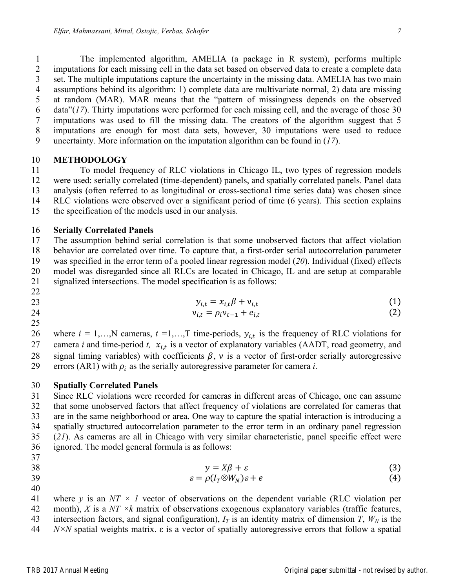The implemented algorithm, AMELIA (a package in R system), performs multiple imputations for each missing cell in the data set based on observed data to create a complete data set. The multiple imputations capture the uncertainty in the missing data. AMELIA has two main assumptions behind its algorithm: 1) complete data are multivariate normal, 2) data are missing at random (MAR). MAR means that the "pattern of missingness depends on the observed data"(*17*). Thirty imputations were performed for each missing cell, and the average of those 30 imputations was used to fill the missing data. The creators of the algorithm suggest that 5 imputations are enough for most data sets, however, 30 imputations were used to reduce uncertainty. More information on the imputation algorithm can be found in (*17*).

#### **METHODOLOGY**

 To model frequency of RLC violations in Chicago IL, two types of regression models were used: serially correlated (time-dependent) panels, and spatially correlated panels. Panel data analysis (often referred to as longitudinal or cross-sectional time series data) was chosen since RLC violations were observed over a significant period of time (6 years). This section explains the specification of the models used in our analysis.

#### **Serially Correlated Panels**

 The assumption behind serial correlation is that some unobserved factors that affect violation behavior are correlated over time. To capture that, a first-order serial autocorrelation parameter was specified in the error term of a pooled linear regression model (*20*). Individual (fixed) effects model was disregarded since all RLCs are located in Chicago, IL and are setup at comparable signalized intersections. The model specification is as follows:

$$
y_{i,t} = x_{i,t}\beta + v_{i,t} \tag{1}
$$

24 
$$
v_{i,t} = \rho_i v_{t-1} + e_{i,t}
$$
 (2)

26 where  $i = 1,...,N$  cameras,  $t = 1,...,T$  time-periods,  $y_{i,t}$  is the frequency of RLC violations for 27 camera *i* and time-period *t,*  $x_{i,t}$  is a vector of explanatory variables (AADT, road geometry, and 28 signal timing variables) with coefficients  $\beta$ , v is a vector of first-order serially autoregressive 29 errors (AR1) with  $\rho_i$  as the serially autoregressive parameter for camera *i*.

## **Spatially Correlated Panels**

 Since RLC violations were recorded for cameras in different areas of Chicago, one can assume that some unobserved factors that affect frequency of violations are correlated for cameras that are in the same neighborhood or area. One way to capture the spatial interaction is introducing a spatially structured autocorrelation parameter to the error term in an ordinary panel regression (*21*). As cameras are all in Chicago with very similar characteristic, panel specific effect were ignored. The model general formula is as follows:

$$
y = X\beta + \varepsilon \tag{3}
$$

$$
\varepsilon = \rho(I_T \otimes W_N)\varepsilon + e \tag{4}
$$

where 
$$
y
$$
 is an  $NT \times I$  vector of observations on the dependent variable (RLC violation per month),  $X$  is a  $NT \times k$  matrix of observations exogenous explanatory variables (traffic features,

43 intersection factors, and signal configuration),  $I_T$  is an identity matrix of dimension *T*,  $W_N$  is the

*N×N* spatial weights matrix. ε is a vector of spatially autoregressive errors that follow a spatial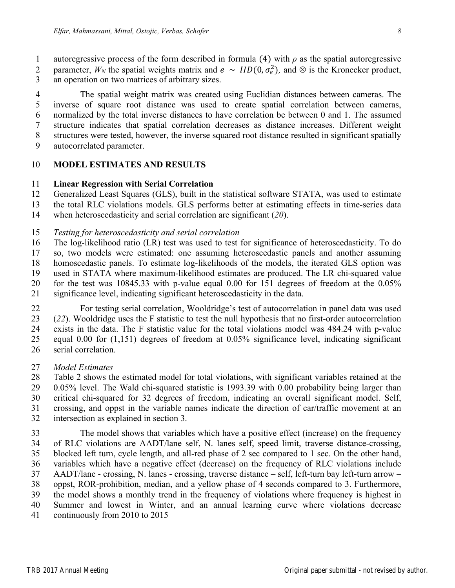1 autoregressive process of the form described in formula (4) with  $\rho$  as the spatial autoregressive 2 parameter,  $W_N$  the spatial weights matrix and  $e \sim IID(0, \sigma_e^2)$ , and  $\otimes$  is the Kronecker product,

an operation on two matrices of arbitrary sizes.

 The spatial weight matrix was created using Euclidian distances between cameras. The inverse of square root distance was used to create spatial correlation between cameras, normalized by the total inverse distances to have correlation be between 0 and 1. The assumed structure indicates that spatial correlation decreases as distance increases. Different weight structures were tested, however, the inverse squared root distance resulted in significant spatially autocorrelated parameter.

## **MODEL ESTIMATES AND RESULTS**

#### **Linear Regression with Serial Correlation**

Generalized Least Squares (GLS), built in the statistical software STATA, was used to estimate

the total RLC violations models. GLS performs better at estimating effects in time-series data

when heteroscedasticity and serial correlation are significant (*20*).

*Testing for heteroscedasticity and serial correlation*

 The log-likelihood ratio (LR) test was used to test for significance of heteroscedasticity. To do so, two models were estimated: one assuming heteroscedastic panels and another assuming homoscedastic panels. To estimate log-likelihoods of the models, the iterated GLS option was used in STATA where maximum-likelihood estimates are produced. The LR chi-squared value for the test was 10845.33 with p-value equal 0.00 for 151 degrees of freedom at the 0.05% significance level, indicating significant heteroscedasticity in the data.

 For testing serial correlation, Wooldridge's test of autocorrelation in panel data was used (*22*). Wooldridge uses the F statistic to test the null hypothesis that no first-order autocorrelation exists in the data. The F statistic value for the total violations model was 484.24 with p-value equal 0.00 for (1,151) degrees of freedom at 0.05% significance level, indicating significant serial correlation.

## *Model Estimates*

 Table 2 shows the estimated model for total violations, with significant variables retained at the 0.05% level. The Wald chi-squared statistic is 1993.39 with 0.00 probability being larger than critical chi-squared for 32 degrees of freedom, indicating an overall significant model. Self, crossing, and oppst in the variable names indicate the direction of car/traffic movement at an intersection as explained in section 3.

 The model shows that variables which have a positive effect (increase) on the frequency of RLC violations are AADT/lane self, N. lanes self, speed limit, traverse distance-crossing, blocked left turn, cycle length, and all-red phase of 2 sec compared to 1 sec. On the other hand, variables which have a negative effect (decrease) on the frequency of RLC violations include AADT/lane - crossing, N. lanes - crossing, traverse distance – self, left-turn bay left-turn arrow – oppst, ROR-prohibition, median, and a yellow phase of 4 seconds compared to 3. Furthermore, the model shows a monthly trend in the frequency of violations where frequency is highest in Summer and lowest in Winter, and an annual learning curve where violations decrease continuously from 2010 to 2015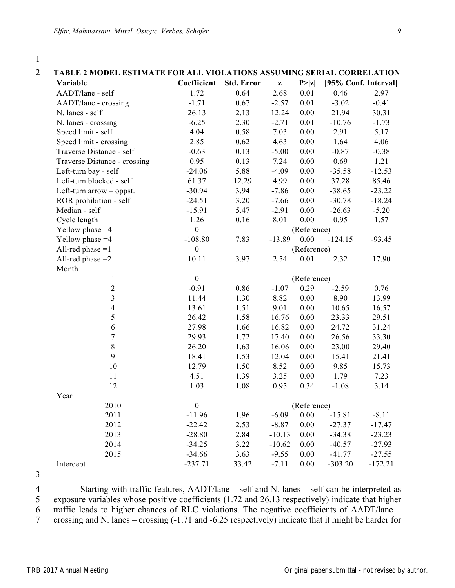| TABLE 2 MODEL ESTIMATE FOR ALL VIOLATIONS ASSUMING SERIAL CORRELATION |                  |                   |              |             |                      |          |
|-----------------------------------------------------------------------|------------------|-------------------|--------------|-------------|----------------------|----------|
| Variable                                                              | Coefficient      | <b>Std. Error</b> | $\mathbf{z}$ | P >  z      | [95% Conf. Interval] |          |
| AADT/lane - self                                                      | 1.72             | 0.64              | 2.68         | 0.01        | 0.46                 | 2.97     |
| AADT/lane - crossing                                                  | $-1.71$          | 0.67              | $-2.57$      | 0.01        | $-3.02$              | $-0.41$  |
| N. lanes - self                                                       | 26.13            | 2.13              | 12.24        | 0.00        | 21.94                | 30.31    |
| N. lanes - crossing                                                   | $-6.25$          | 2.30              | $-2.71$      | 0.01        | $-10.76$             | $-1.73$  |
| Speed limit - self                                                    | 4.04             | 0.58              | 7.03         | 0.00        | 2.91                 | 5.17     |
| Speed limit - crossing                                                | 2.85             | 0.62              | 4.63         | $0.00\,$    | 1.64                 | 4.06     |
| Traverse Distance - self                                              | $-0.63$          | 0.13              | $-5.00$      | 0.00        | $-0.87$              | $-0.38$  |
| Traverse Distance - crossing                                          | 0.95             | 0.13              | 7.24         | 0.00        | 0.69                 | 1.21     |
| Left-turn bay - self                                                  | $-24.06$         | 5.88              | $-4.09$      | 0.00        | $-35.58$             | $-12.53$ |
| Left-turn blocked - self                                              | 61.37            | 12.29             | 4.99         | 0.00        | 37.28                | 85.46    |
| Left-turn $arrow -$ oppst.                                            | $-30.94$         | 3.94              | $-7.86$      | 0.00        | $-38.65$             | $-23.22$ |
| ROR prohibition - self                                                | $-24.51$         | 3.20              | $-7.66$      | 0.00        | $-30.78$             | $-18.24$ |
| Median - self                                                         | $-15.91$         | 5.47              | $-2.91$      | 0.00        | $-26.63$             | $-5.20$  |
| Cycle length                                                          | 1.26             | 0.16              | 8.01         | 0.00        | 0.95                 | 1.57     |
| Yellow phase $=4$                                                     | $\boldsymbol{0}$ |                   |              | (Reference) |                      |          |
| Yellow phase $=4$                                                     | $-108.80$        | 7.83              | $-13.89$     | 0.00        | $-124.15$            | $-93.45$ |
| All-red phase $=1$                                                    | $\boldsymbol{0}$ |                   |              | (Reference) |                      |          |
| All-red phase $=2$                                                    | 10.11            | 3.97              | 2.54         | 0.01        | 2.32                 | 17.90    |
| Month                                                                 |                  |                   |              |             |                      |          |
| $\mathbf{1}$                                                          | $\mathbf{0}$     |                   |              | (Reference) |                      |          |
| $\overline{c}$                                                        | $-0.91$          | 0.86              | $-1.07$      | 0.29        | $-2.59$              | 0.76     |
| $\overline{\mathbf{3}}$                                               | 11.44            | 1.30              | 8.82         | 0.00        | 8.90                 | 13.99    |
| $\overline{4}$                                                        | 13.61            | 1.51              | 9.01         | 0.00        | 10.65                | 16.57    |
| 5                                                                     | 26.42            | 1.58              | 16.76        | 0.00        | 23.33                | 29.51    |
| $\sqrt{6}$                                                            | 27.98            | 1.66              | 16.82        | 0.00        | 24.72                | 31.24    |
| $\overline{7}$                                                        | 29.93            | 1.72              | 17.40        | 0.00        | 26.56                | 33.30    |
| 8                                                                     | 26.20            | 1.63              | 16.06        | $0.00\,$    | 23.00                | 29.40    |
| 9                                                                     | 18.41            | 1.53              | 12.04        | 0.00        | 15.41                | 21.41    |
| $10\,$                                                                | 12.79            | 1.50              | 8.52         | $0.00\,$    | 9.85                 | 15.73    |
| 11                                                                    | 4.51             | 1.39              | 3.25         | 0.00        | 1.79                 | 7.23     |
| 12                                                                    | 1.03             | 1.08              | 0.95         | 0.34        | $-1.08$              | 3.14     |
| Year                                                                  |                  |                   |              |             |                      |          |
| 2010                                                                  | $\boldsymbol{0}$ |                   |              | (Reference) |                      |          |
| 2011                                                                  | $-11.96$         | 1.96              | $-6.09$      | 0.00        | $-15.81$             | $-8.11$  |
| 2012                                                                  | $-22.42$         | 2.53              | $-8.87$      | 0.00        | $-27.37$             | $-17.47$ |
| 2013                                                                  | $-28.80$         | 2.84              | $-10.13$     | 0.00        | $-34.38$             | $-23.23$ |
| 2014                                                                  | $-34.25$         | 3.22              | $-10.62$     | 0.00        | $-40.57$             | $-27.93$ |
|                                                                       |                  |                   |              |             |                      |          |
| 2015                                                                  | $-34.66$         | 3.63              | $-9.55$      | 0.00        | $-41.77$             | $-27.55$ |

<sup>3</sup>

4 Starting with traffic features, AADT/lane – self and N. lanes – self can be interpreted as exposure variables whose positive coefficients (1.72 and 26.13 respectively) indicate that higher exposure variables whose positive coefficients (1.72 and 26.13 respectively) indicate that higher 6 traffic leads to higher chances of RLC violations. The negative coefficients of AADT/lane –

7 crossing and N. lanes – crossing (-1.71 and -6.25 respectively) indicate that it might be harder for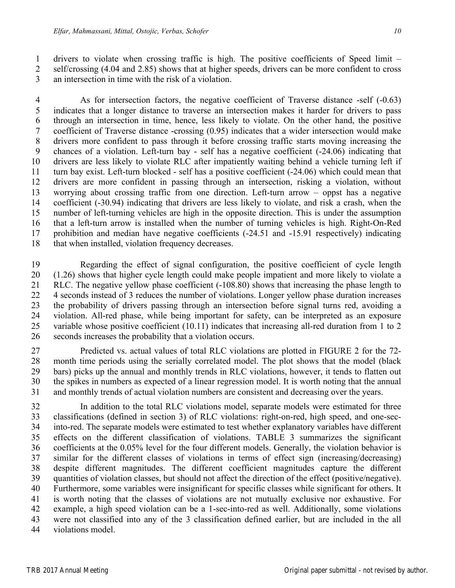drivers to violate when crossing traffic is high. The positive coefficients of Speed limit – self/crossing (4.04 and 2.85) shows that at higher speeds, drivers can be more confident to cross an intersection in time with the risk of a violation.

 As for intersection factors, the negative coefficient of Traverse distance -self (-0.63) indicates that a longer distance to traverse an intersection makes it harder for drivers to pass through an intersection in time, hence, less likely to violate. On the other hand, the positive coefficient of Traverse distance -crossing (0.95) indicates that a wider intersection would make drivers more confident to pass through it before crossing traffic starts moving increasing the chances of a violation. Left-turn bay - self has a negative coefficient (-24.06) indicating that drivers are less likely to violate RLC after impatiently waiting behind a vehicle turning left if turn bay exist. Left-turn blocked - self has a positive coefficient (-24.06) which could mean that drivers are more confident in passing through an intersection, risking a violation, without worrying about crossing traffic from one direction. Left-turn arrow – oppst has a negative coefficient (-30.94) indicating that drivers are less likely to violate, and risk a crash, when the number of left-turning vehicles are high in the opposite direction. This is under the assumption that a left-turn arrow is installed when the number of turning vehicles is high. Right-On-Red prohibition and median have negative coefficients (-24.51 and -15.91 respectively) indicating that when installed, violation frequency decreases.

 Regarding the effect of signal configuration, the positive coefficient of cycle length (1.26) shows that higher cycle length could make people impatient and more likely to violate a RLC. The negative yellow phase coefficient (-108.80) shows that increasing the phase length to 4 seconds instead of 3 reduces the number of violations. Longer yellow phase duration increases the probability of drivers passing through an intersection before signal turns red, avoiding a violation. All-red phase, while being important for safety, can be interpreted as an exposure variable whose positive coefficient (10.11) indicates that increasing all-red duration from 1 to 2 seconds increases the probability that a violation occurs.

 Predicted vs. actual values of total RLC violations are plotted in FIGURE 2 for the 72- month time periods using the serially correlated model. The plot shows that the model (black bars) picks up the annual and monthly trends in RLC violations, however, it tends to flatten out the spikes in numbers as expected of a linear regression model. It is worth noting that the annual and monthly trends of actual violation numbers are consistent and decreasing over the years.

 In addition to the total RLC violations model, separate models were estimated for three classifications (defined in section 3) of RLC violations: right-on-red, high speed, and one-sec- into-red. The separate models were estimated to test whether explanatory variables have different effects on the different classification of violations. TABLE 3 summarizes the significant coefficients at the 0.05% level for the four different models. Generally, the violation behavior is similar for the different classes of violations in terms of effect sign (increasing/decreasing) despite different magnitudes. The different coefficient magnitudes capture the different quantities of violation classes, but should not affect the direction of the effect (positive/negative). Furthermore, some variables were insignificant for specific classes while significant for others. It is worth noting that the classes of violations are not mutually exclusive nor exhaustive. For example, a high speed violation can be a 1-sec-into-red as well. Additionally, some violations were not classified into any of the 3 classification defined earlier, but are included in the all violations model.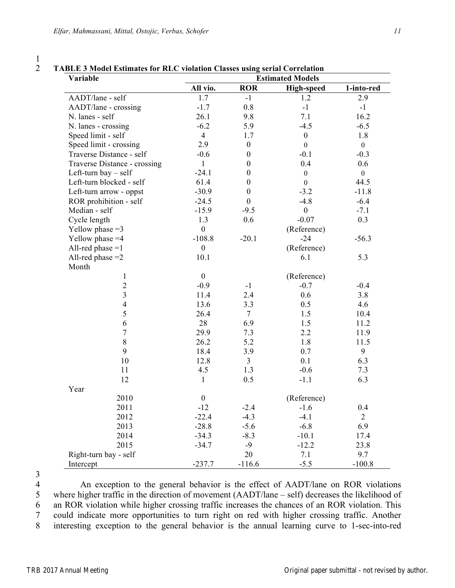| Variable                     | <b>TABLE 3 Model Estimates for RLC violation Classes using serial Correlation</b><br><b>Estimated Models</b> |                  |                   |                |  |
|------------------------------|--------------------------------------------------------------------------------------------------------------|------------------|-------------------|----------------|--|
|                              | All vio.                                                                                                     | <b>ROR</b>       | <b>High-speed</b> | 1-into-red     |  |
| AADT/lane - self             | 1.7                                                                                                          | $-1$             | 1.2               | 2.9            |  |
| AADT/lane - crossing         | $-1.7$                                                                                                       | 0.8              | $-1$              | $-1$           |  |
| N. lanes - self              | 26.1                                                                                                         | 9.8              | 7.1               | 16.2           |  |
| N. lanes - crossing          | $-6.2$                                                                                                       | 5.9              | $-4.5$            | $-6.5$         |  |
| Speed limit - self           | $\overline{4}$                                                                                               | 1.7              | $\boldsymbol{0}$  | 1.8            |  |
| Speed limit - crossing       | 2.9                                                                                                          | $\boldsymbol{0}$ | $\boldsymbol{0}$  | $\mathbf{0}$   |  |
| Traverse Distance - self     | $-0.6$                                                                                                       | $\boldsymbol{0}$ | $-0.1$            | $-0.3$         |  |
| Traverse Distance - crossing | $\mathbf{1}$                                                                                                 | $\overline{0}$   | 0.4               | 0.6            |  |
| Left-turn bay $-$ self       | $-24.1$                                                                                                      | $\theta$         | $\boldsymbol{0}$  | $\overline{0}$ |  |
| Left-turn blocked - self     | 61.4                                                                                                         | $\theta$         | $\mathbf{0}$      | 44.5           |  |
| Left-turn arrow - oppst      | $-30.9$                                                                                                      | $\boldsymbol{0}$ | $-3.2$            | $-11.8$        |  |
| ROR prohibition - self       | $-24.5$                                                                                                      | $\mathbf{0}$     | $-4.8$            | $-6.4$         |  |
| Median - self                | $-15.9$                                                                                                      | $-9.5$           | $\boldsymbol{0}$  | $-7.1$         |  |
| Cycle length                 | 1.3                                                                                                          | 0.6              | $-0.07$           | 0.3            |  |
| Yellow phase $=3$            | $\boldsymbol{0}$                                                                                             |                  | (Reference)       |                |  |
| Yellow phase $=4$            | $-108.8$                                                                                                     | $-20.1$          | $-24$             | $-56.3$        |  |
| All-red phase $=1$           | $\boldsymbol{0}$                                                                                             |                  | (Reference)       |                |  |
| All-red phase $=2$           | 10.1                                                                                                         |                  | 6.1               | 5.3            |  |
| Month                        |                                                                                                              |                  |                   |                |  |
| 1                            | $\mathbf{0}$                                                                                                 |                  | (Reference)       |                |  |
| $\overline{c}$               | $-0.9$                                                                                                       | $-1$             | $-0.7$            | $-0.4$         |  |
| $\overline{\mathbf{3}}$      | 11.4                                                                                                         | 2.4              | 0.6               | 3.8            |  |
| $\overline{\mathcal{A}}$     | 13.6                                                                                                         | 3.3              | 0.5               | 4.6            |  |
| 5                            | 26.4                                                                                                         | $\overline{7}$   | 1.5               | 10.4           |  |
| 6                            | 28                                                                                                           | 6.9              | 1.5               | 11.2           |  |
| $\overline{7}$               | 29.9                                                                                                         | 7.3              | 2.2               | 11.9           |  |
| $8\,$                        | 26.2                                                                                                         | 5.2              | 1.8               | 11.5           |  |
| 9                            | 18.4                                                                                                         | 3.9              | 0.7               | 9              |  |
| 10                           | 12.8                                                                                                         | $\overline{3}$   | 0.1               | 6.3            |  |
| 11                           | 4.5                                                                                                          | 1.3              | $-0.6$            | 7.3            |  |
| 12                           | $\mathbf{1}$                                                                                                 | 0.5              | $-1.1$            | 6.3            |  |
| Year                         |                                                                                                              |                  |                   |                |  |
| 2010                         | $\boldsymbol{0}$                                                                                             |                  | (Reference)       |                |  |
| 2011                         | $-12$                                                                                                        | $-2.4$           | $-1.6$            | 0.4            |  |
| 2012                         | $-22.4$                                                                                                      | $-4.3$           | $-4.1$            | $\overline{2}$ |  |
| 2013                         | $-28.8$                                                                                                      | $-5.6$           | $-6.8$            | 6.9            |  |
| 2014                         | $-34.3$                                                                                                      | $-8.3$           | $-10.1$           | 17.4           |  |
| 2015                         | $-34.7$                                                                                                      | $-9$             | $-12.2$           | 23.8           |  |
| Right-turn bay - self        |                                                                                                              | 20               | 7.1               | 9.7            |  |
| Intercept                    | $-237.7$                                                                                                     | $-116.6$         | $-5.5$            | $-100.8$       |  |

4 An exception to the general behavior is the effect of AADT/lane on ROR violations<br>5 where higher traffic in the direction of movement (AADT/lane – self) decreases the likelihood of where higher traffic in the direction of movement (AADT/lane – self) decreases the likelihood of an ROR violation while higher crossing traffic increases the chances of an ROR violation. This could indicate more opportunities to turn right on red with higher crossing traffic. Another interesting exception to the general behavior is the annual learning curve to 1-sec-into-red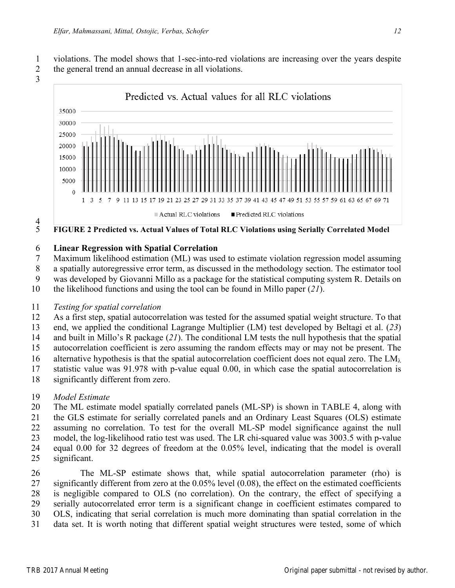violations. The model shows that 1-sec-into-red violations are increasing over the years despite the general trend an annual decrease in all violations.





# $rac{4}{5}$

# **Linear Regression with Spatial Correlation**

- Maximum likelihood estimation (ML) was used to estimate violation regression model assuming
- a spatially autoregressive error term, as discussed in the methodology section. The estimator tool
- was developed by Giovanni Millo as a package for the statistical computing system R. Details on
- the likelihood functions and using the tool can be found in Millo paper (*21*).

## *Testing for spatial correlation*

- As a first step, spatial autocorrelation was tested for the assumed spatial weight structure. To that
- end, we applied the conditional Lagrange Multiplier (LM) test developed by Beltagi et al. (*23*)
- and built in Millo's R package (*21*). The conditional LM tests the null hypothesis that the spatial
- autocorrelation coefficient is zero assuming the random effects may or may not be present. The
- 16 alternative hypothesis is that the spatial autocorrelation coefficient does not equal zero. The  $LM<sub>\lambda</sub>$
- statistic value was 91.978 with p-value equal 0.00, in which case the spatial autocorrelation is
- significantly different from zero.
- *Model Estimate*
- The ML estimate model spatially correlated panels (ML-SP) is shown in TABLE 4, along with the GLS estimate for serially correlated panels and an Ordinary Least Squares (OLS) estimate assuming no correlation. To test for the overall ML-SP model significance against the null
- model, the log-likelihood ratio test was used. The LR chi-squared value was 3003.5 with p-value equal 0.00 for 32 degrees of freedom at the 0.05% level, indicating that the model is overall
- significant.

 The ML-SP estimate shows that, while spatial autocorrelation parameter (rho) is significantly different from zero at the 0.05% level (0.08), the effect on the estimated coefficients is negligible compared to OLS (no correlation). On the contrary, the effect of specifying a serially autocorrelated error term is a significant change in coefficient estimates compared to OLS, indicating that serial correlation is much more dominating than spatial correlation in the data set. It is worth noting that different spatial weight structures were tested, some of which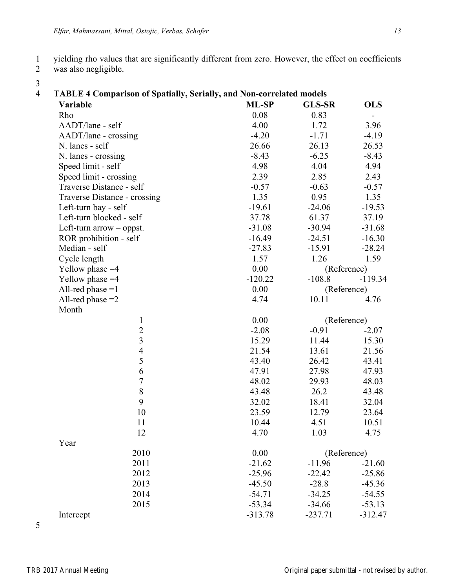was also negligible.

3

| Variable                     | ML-SP     | <b>GLS-SR</b> | <b>OLS</b>  |
|------------------------------|-----------|---------------|-------------|
| Rho                          | 0.08      | 0.83          | Ξ.          |
| AADT/lane - self             | 4.00      | 1.72          | 3.96        |
| AADT/lane - crossing         | $-4.20$   | $-1.71$       | $-4.19$     |
| N. lanes - self              | 26.66     | 26.13         | 26.53       |
| N. lanes - crossing          | $-8.43$   | $-6.25$       | $-8.43$     |
| Speed limit - self           | 4.98      | 4.04          | 4.94        |
| Speed limit - crossing       | 2.39      | 2.85          | 2.43        |
| Traverse Distance - self     | $-0.57$   | $-0.63$       | $-0.57$     |
| Traverse Distance - crossing | 1.35      | 0.95          | 1.35        |
| Left-turn bay - self         | $-19.61$  | $-24.06$      | $-19.53$    |
| Left-turn blocked - self     | 37.78     | 61.37         | 37.19       |
| Left-turn $arrow -$ oppst.   | $-31.08$  | $-30.94$      | $-31.68$    |
| ROR prohibition - self       | $-16.49$  | $-24.51$      | $-16.30$    |
| Median - self                | $-27.83$  | $-15.91$      | $-28.24$    |
| Cycle length                 | 1.57      | 1.26          | 1.59        |
| Yellow phase $=4$            | 0.00      |               | (Reference) |
| Yellow phase $=4$            | $-120.22$ | $-108.8$      | $-119.34$   |
| All-red phase $=1$           | 0.00      | (Reference)   |             |
| All-red phase $=2$           | 4.74      | 10.11         | 4.76        |
| Month                        |           |               |             |
| $\mathbf{1}$                 | 0.00      | (Reference)   |             |
| $\frac{2}{3}$                | $-2.08$   | $-0.91$       | $-2.07$     |
|                              | 15.29     | 11.44         | 15.30       |
| $\overline{4}$               | 21.54     | 13.61         | 21.56       |
| 5                            | 43.40     | 26.42         | 43.41       |
| 6                            | 47.91     | 27.98         | 47.93       |
| $\overline{7}$               | 48.02     | 29.93         | 48.03       |
| $8\,$                        | 43.48     | 26.2          | 43.48       |
| 9                            | 32.02     | 18.41         | 32.04       |
| 10                           | 23.59     | 12.79         | 23.64       |
| 11                           | 10.44     | 4.51          | 10.51       |
| 12                           | 4.70      | 1.03          | 4.75        |
| Year                         |           |               |             |
| 2010                         | 0.00      | (Reference)   |             |
| 2011                         | $-21.62$  | $-11.96$      | $-21.60$    |
| 2012                         | $-25.96$  | $-22.42$      | $-25.86$    |
| 2013                         | $-45.50$  | $-28.8$       | $-45.36$    |
| 2014                         | $-54.71$  | $-34.25$      | $-54.55$    |
| 2015                         | $-53.34$  | $-34.66$      | $-53.13$    |
| Intercept                    | $-313.78$ | $-237.71$     | $-312.47$   |

5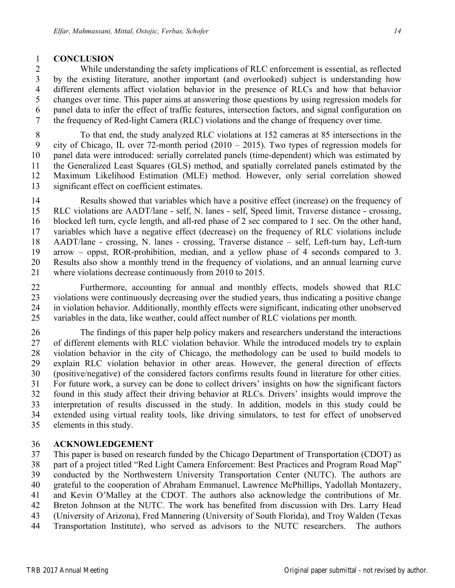## **CONCLUSION**

 While understanding the safety implications of RLC enforcement is essential, as reflected by the existing literature, another important (and overlooked) subject is understanding how different elements affect violation behavior in the presence of RLCs and how that behavior changes over time. This paper aims at answering those questions by using regression models for panel data to infer the effect of traffic features, intersection factors, and signal configuration on the frequency of Red-light Camera (RLC) violations and the change of frequency over time.

 To that end, the study analyzed RLC violations at 152 cameras at 85 intersections in the city of Chicago, IL over 72-month period (2010 – 2015). Two types of regression models for panel data were introduced: serially correlated panels (time-dependent) which was estimated by the Generalized Least Squares (GLS) method, and spatially correlated panels estimated by the Maximum Likelihood Estimation (MLE) method. However, only serial correlation showed significant effect on coefficient estimates.

 Results showed that variables which have a positive effect (increase) on the frequency of RLC violations are AADT/lane - self, N. lanes - self, Speed limit, Traverse distance - crossing, blocked left turn, cycle length, and all-red phase of 2 sec compared to 1 sec. On the other hand, variables which have a negative effect (decrease) on the frequency of RLC violations include AADT/lane - crossing, N. lanes - crossing, Traverse distance – self, Left-turn bay, Left-turn arrow – oppst, ROR-prohibition, median, and a yellow phase of 4 seconds compared to 3. Results also show a monthly trend in the frequency of violations, and an annual learning curve where violations decrease continuously from 2010 to 2015.

 Furthermore, accounting for annual and monthly effects, models showed that RLC violations were continuously decreasing over the studied years, thus indicating a positive change in violation behavior. Additionally, monthly effects were significant, indicating other unobserved variables in the data, like weather, could affect number of RLC violations per month.

 The findings of this paper help policy makers and researchers understand the interactions of different elements with RLC violation behavior. While the introduced models try to explain violation behavior in the city of Chicago, the methodology can be used to build models to explain RLC violation behavior in other areas. However, the general direction of effects (positive/negative) of the considered factors confirms results found in literature for other cities. For future work, a survey can be done to collect drivers' insights on how the significant factors found in this study affect their driving behavior at RLCs. Drivers' insights would improve the interpretation of results discussed in the study. In addition, models in this study could be extended using virtual reality tools, like driving simulators, to test for effect of unobserved elements in this study.

## **ACKNOWLEDGEMENT**

 This paper is based on research funded by the Chicago Department of Transportation (CDOT) as part of a project titled "Red Light Camera Enforcement: Best Practices and Program Road Map" conducted by the Northwestern University Transportation Center (NUTC). The authors are grateful to the cooperation of Abraham Emmanuel, Lawrence McPhillips, Yadollah Montazery, and Kevin O'Malley at the CDOT. The authors also acknowledge the contributions of Mr. Breton Johnson at the NUTC. The work has benefited from discussion with Drs. Larry Head (University of Arizona), Fred Mannering (University of South Florida), and Troy Walden (Texas Transportation Institute), who served as advisors to the NUTC researchers. The authors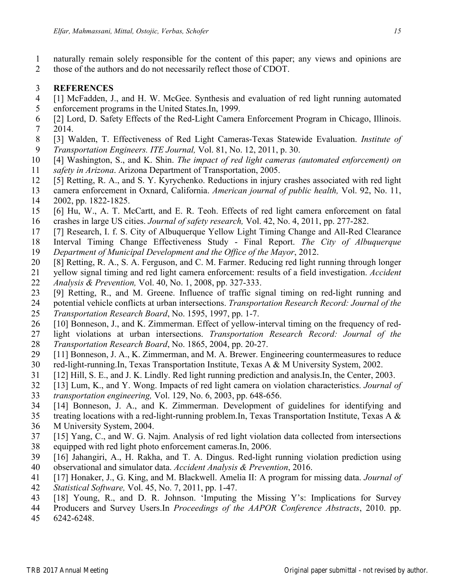- naturally remain solely responsible for the content of this paper; any views and opinions are
- those of the authors and do not necessarily reflect those of CDOT.

## **REFERENCES**

- [1] McFadden, J., and H. W. McGee. Synthesis and evaluation of red light running automated enforcement programs in the United States.In, 1999.
- [2] Lord, D. Safety Effects of the Red-Light Camera Enforcement Program in Chicago, Illinois. 2014.
- [3] Walden, T. Effectiveness of Red Light Cameras-Texas Statewide Evaluation. *Institute of Transportation Engineers. ITE Journal,* Vol. 81, No. 12, 2011, p. 30.
- [4] Washington, S., and K. Shin. *The impact of red light cameras (automated enforcement) on*
- *safety in Arizona*. Arizona Department of Transportation, 2005.
- [5] Retting, R. A., and S. Y. Kyrychenko. Reductions in injury crashes associated with red light
- camera enforcement in Oxnard, California. *American journal of public health,* Vol. 92, No. 11, 2002, pp. 1822-1825.
- [6] Hu, W., A. T. McCartt, and E. R. Teoh. Effects of red light camera enforcement on fatal crashes in large US cities. *Journal of safety research,* Vol. 42, No. 4, 2011, pp. 277-282.
- 
- [7] Research, I. f. S. City of Albuquerque Yellow Light Timing Change and All-Red Clearance
- Interval Timing Change Effectiveness Study Final Report. *The City of Albuquerque*
- *Department of Municipal Development and the Office of the Mayor*, 2012.
- [8] Retting, R. A., S. A. Ferguson, and C. M. Farmer. Reducing red light running through longer
- yellow signal timing and red light camera enforcement: results of a field investigation. *Accident Analysis & Prevention,* Vol. 40, No. 1, 2008, pp. 327-333.
- [9] Retting, R., and M. Greene. Influence of traffic signal timing on red-light running and
- potential vehicle conflicts at urban intersections. *Transportation Research Record: Journal of the*
- *Transportation Research Board*, No. 1595, 1997, pp. 1-7.
- [10] Bonneson, J., and K. Zimmerman. Effect of yellow-interval timing on the frequency of red-
- light violations at urban intersections. *Transportation Research Record: Journal of the Transportation Research Board*, No. 1865, 2004, pp. 20-27.
- [11] Bonneson, J. A., K. Zimmerman, and M. A. Brewer. Engineering countermeasures to reduce
- red-light-running.In, Texas Transportation Institute, Texas A & M University System, 2002.
- [12] Hill, S. E., and J. K. Lindly. Red light running prediction and analysis.In, the Center, 2003.
- [13] Lum, K., and Y. Wong. Impacts of red light camera on violation characteristics. *Journal of*
- *transportation engineering,* Vol. 129, No. 6, 2003, pp. 648-656.
- [14] Bonneson, J. A., and K. Zimmerman. Development of guidelines for identifying and
- treating locations with a red-light-running problem.In, Texas Transportation Institute, Texas A &
- M University System, 2004.
- [15] Yang, C., and W. G. Najm. Analysis of red light violation data collected from intersections
- equipped with red light photo enforcement cameras.In, 2006.
- [16] Jahangiri, A., H. Rakha, and T. A. Dingus. Red-light running violation prediction using observational and simulator data. *Accident Analysis & Prevention*, 2016.
- [17] Honaker, J., G. King, and M. Blackwell. Amelia II: A program for missing data. *Journal of*
- *Statistical Software,* Vol. 45, No. 7, 2011, pp. 1-47.
- [18] Young, R., and D. R. Johnson. 'Imputing the Missing Y's: Implications for Survey
- Producers and Survey Users.In *Proceedings of the AAPOR Conference Abstracts*, 2010. pp.
- 6242-6248.